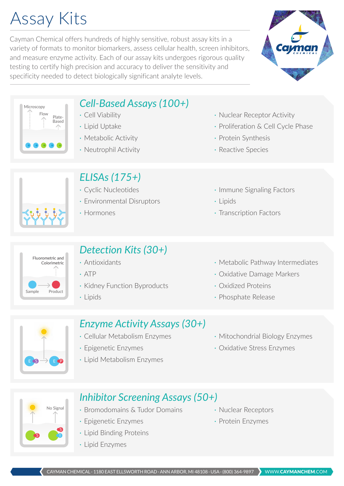# Assay Kits

Cayman Chemical offers hundreds of highly sensitive, robust assay kits in a variety of formats to monitor biomarkers, assess cellular health, screen inhibitors, and measure enzyme activity. Each of our assay kits undergoes rigorous quality testing to certify high precision and accuracy to deliver the sensitivity and specificity needed to detect biologically significant analyte levels.



Flow Plate-Based Microscopy

# *Cell-Based Assays (100+)*

- · Cell Viability
- · Lipid Uptake
- · Metabolic Activity
- · Neutrophil Activity

### *ELISAs (175+)*

- · Cyclic Nucleotides
- · Environmental Disruptors
- · Hormones

### · Nuclear Receptor Activity

- · Proliferation & Cell Cycle Phase
- · Protein Synthesis
- · Reactive Species
- · Immune Signaling Factors
- · Lipids
- · Transcription Factors



# *Detection Kits (30+)*

- · Antioxidants
- · ATP
- · Kidney Function Byproducts
- · Lipids
- · Metabolic Pathway Intermediates
- · Oxidative Damage Markers
- · Oxidized Proteins
- · Phosphate Release



## *Enzyme Activity Assays (30+)*

- · Cellular Metabolism Enzymes
- · Epigenetic Enzymes
- · Lipid Metabolism Enzymes
- · Mitochondrial Biology Enzymes
- · Oxidative Stress Enzymes

S No Signal S

### *Inhibitor Screening Assays (50+)*

- · Bromodomains & Tudor Domains
- · Epigenetic Enzymes
- · Lipid Binding Proteins
- · Lipid Enzymes
- · Nuclear Receptors
- · Protein Enzymes